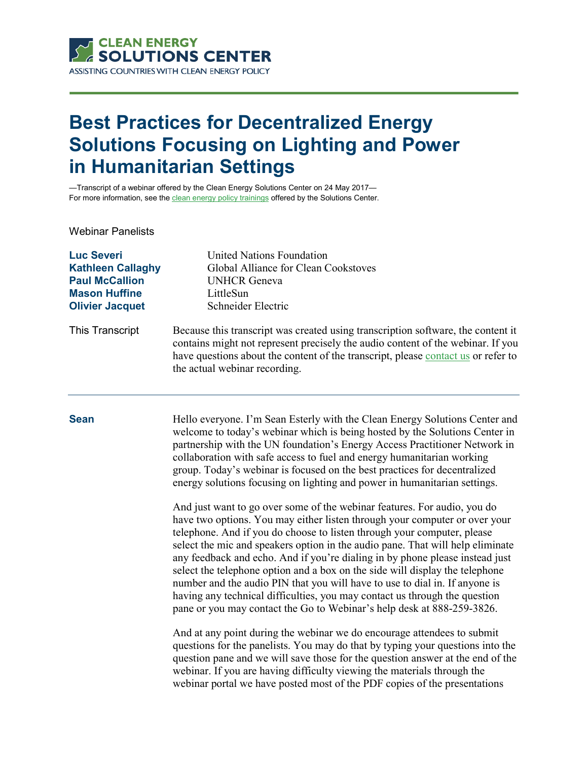

## **Best Practices for Decentralized Energy Solutions Focusing on Lighting and Power in Humanitarian Settings**

—Transcript of a webinar offered by the Clean Energy Solutions Center on 24 May 2017— For more information, see th[e clean energy policy trainings](https://cleanenergysolutions.org/training) offered by the Solutions Center.

Webinar Panelists

| <b>Luc Severi</b>        | <b>United Nations Foundation</b>                                                                                                                                                                                                                                                          |
|--------------------------|-------------------------------------------------------------------------------------------------------------------------------------------------------------------------------------------------------------------------------------------------------------------------------------------|
| <b>Kathleen Callaghy</b> | Global Alliance for Clean Cookstoves                                                                                                                                                                                                                                                      |
| <b>Paul McCallion</b>    | <b>UNHCR</b> Geneva                                                                                                                                                                                                                                                                       |
| <b>Mason Huffine</b>     | LittleSun                                                                                                                                                                                                                                                                                 |
| <b>Olivier Jacquet</b>   | Schneider Electric                                                                                                                                                                                                                                                                        |
| This Transcript          | Because this transcript was created using transcription software, the content it<br>contains might not represent precisely the audio content of the webinar. If you<br>have questions about the content of the transcript, please contact us or refer to<br>the actual webinar recording. |

**Sean** Hello everyone. I'm Sean Esterly with the Clean Energy Solutions Center and welcome to today's webinar which is being hosted by the Solutions Center in partnership with the UN foundation's Energy Access Practitioner Network in collaboration with safe access to fuel and energy humanitarian working group. Today's webinar is focused on the best practices for decentralized energy solutions focusing on lighting and power in humanitarian settings.

> And just want to go over some of the webinar features. For audio, you do have two options. You may either listen through your computer or over your telephone. And if you do choose to listen through your computer, please select the mic and speakers option in the audio pane. That will help eliminate any feedback and echo. And if you're dialing in by phone please instead just select the telephone option and a box on the side will display the telephone number and the audio PIN that you will have to use to dial in. If anyone is having any technical difficulties, you may contact us through the question pane or you may contact the Go to Webinar's help desk at 888-259-3826.

> And at any point during the webinar we do encourage attendees to submit questions for the panelists. You may do that by typing your questions into the question pane and we will save those for the question answer at the end of the webinar. If you are having difficulty viewing the materials through the webinar portal we have posted most of the PDF copies of the presentations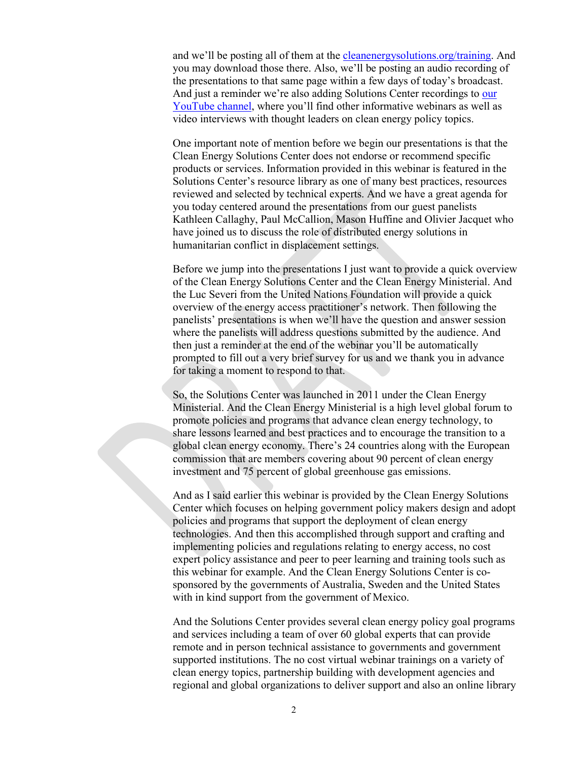and we'll be posting all of them at the [cleanenergysolutions.org/training.](https://cleanenergysolutions.org/training) And you may download those there. Also, we'll be posting an audio recording of the presentations to that same page within a few days of today's broadcast. And just a reminder we're also adding Solutions Center recordings to [our](https://www.youtube.com/user/cleanenergypolicy)  [YouTube channel,](https://www.youtube.com/user/cleanenergypolicy) where you'll find other informative webinars as well as video interviews with thought leaders on clean energy policy topics.

One important note of mention before we begin our presentations is that the Clean Energy Solutions Center does not endorse or recommend specific products or services. Information provided in this webinar is featured in the Solutions Center's resource library as one of many best practices, resources reviewed and selected by technical experts. And we have a great agenda for you today centered around the presentations from our guest panelists Kathleen Callaghy, Paul McCallion, Mason Huffine and Olivier Jacquet who have joined us to discuss the role of distributed energy solutions in humanitarian conflict in displacement settings.

Before we jump into the presentations I just want to provide a quick overview of the Clean Energy Solutions Center and the Clean Energy Ministerial. And the Luc Severi from the United Nations Foundation will provide a quick overview of the energy access practitioner's network. Then following the panelists' presentations is when we'll have the question and answer session where the panelists will address questions submitted by the audience. And then just a reminder at the end of the webinar you'll be automatically prompted to fill out a very brief survey for us and we thank you in advance for taking a moment to respond to that.

So, the Solutions Center was launched in 2011 under the Clean Energy Ministerial. And the Clean Energy Ministerial is a high level global forum to promote policies and programs that advance clean energy technology, to share lessons learned and best practices and to encourage the transition to a global clean energy economy. There's 24 countries along with the European commission that are members covering about 90 percent of clean energy investment and 75 percent of global greenhouse gas emissions.

And as I said earlier this webinar is provided by the Clean Energy Solutions Center which focuses on helping government policy makers design and adopt policies and programs that support the deployment of clean energy technologies. And then this accomplished through support and crafting and implementing policies and regulations relating to energy access, no cost expert policy assistance and peer to peer learning and training tools such as this webinar for example. And the Clean Energy Solutions Center is cosponsored by the governments of Australia, Sweden and the United States with in kind support from the government of Mexico.

And the Solutions Center provides several clean energy policy goal programs and services including a team of over 60 global experts that can provide remote and in person technical assistance to governments and government supported institutions. The no cost virtual webinar trainings on a variety of clean energy topics, partnership building with development agencies and regional and global organizations to deliver support and also an online library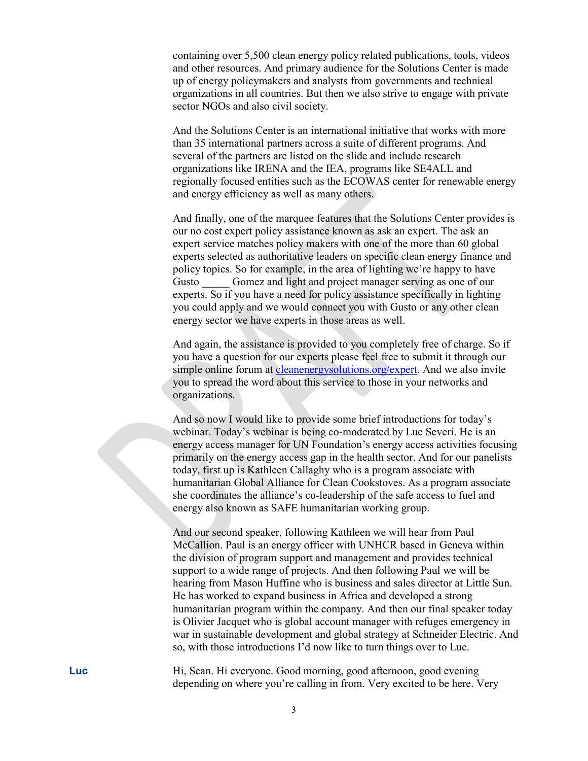containing over 5,500 clean energy policy related publications, tools, videos and other resources. And primary audience for the Solutions Center is made up of energy policymakers and analysts from governments and technical organizations in all countries. But then we also strive to engage with private sector NGOs and also civil society.

And the Solutions Center is an international initiative that works with more than 35 international partners across a suite of different programs. And several of the partners are listed on the slide and include research organizations like IRENA and the IEA, programs like SE4ALL and regionally focused entities such as the ECOWAS center for renewable energy and energy efficiency as well as many others.

And finally, one of the marquee features that the Solutions Center provides is our no cost expert policy assistance known as ask an expert. The ask an expert service matches policy makers with one of the more than 60 global experts selected as authoritative leaders on specific clean energy finance and policy topics. So for example, in the area of lighting we're happy to have Gusto Gomez and light and project manager serving as one of our experts. So if you have a need for policy assistance specifically in lighting you could apply and we would connect you with Gusto or any other clean energy sector we have experts in those areas as well.

And again, the assistance is provided to you completely free of charge. So if you have a question for our experts please feel free to submit it through our simple online forum at [cleanenergysolutions.org/expert.](https://cleanenergysolutions.org/expert) And we also invite you to spread the word about this service to those in your networks and organizations.

And so now I would like to provide some brief introductions for today's webinar. Today's webinar is being co-moderated by Luc Severi. He is an energy access manager for UN Foundation's energy access activities focusing primarily on the energy access gap in the health sector. And for our panelists today, first up is Kathleen Callaghy who is a program associate with humanitarian Global Alliance for Clean Cookstoves. As a program associate she coordinates the alliance's co-leadership of the safe access to fuel and energy also known as SAFE humanitarian working group.

And our second speaker, following Kathleen we will hear from Paul McCallion. Paul is an energy officer with UNHCR based in Geneva within the division of program support and management and provides technical support to a wide range of projects. And then following Paul we will be hearing from Mason Huffine who is business and sales director at Little Sun. He has worked to expand business in Africa and developed a strong humanitarian program within the company. And then our final speaker today is Olivier Jacquet who is global account manager with refuges emergency in war in sustainable development and global strategy at Schneider Electric. And so, with those introductions I'd now like to turn things over to Luc.

**Luc** Hi, Sean. Hi everyone. Good morning, good afternoon, good evening depending on where you're calling in from. Very excited to be here. Very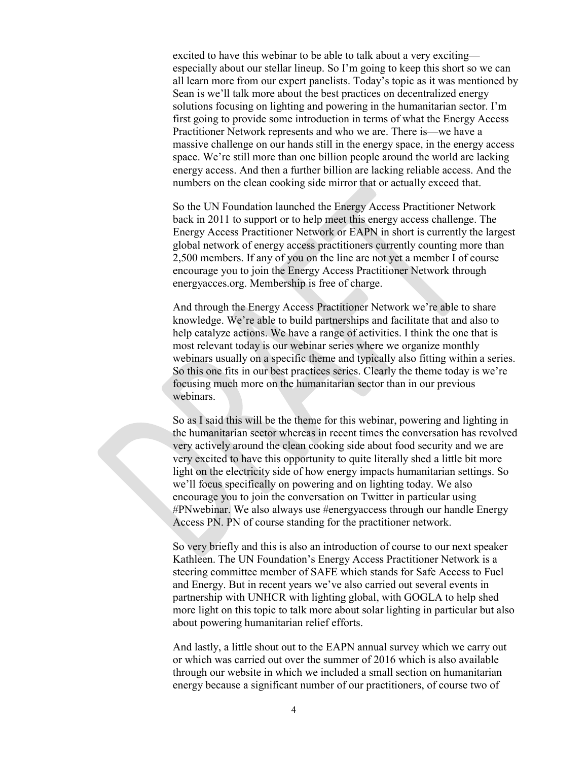excited to have this webinar to be able to talk about a very exciting especially about our stellar lineup. So I'm going to keep this short so we can all learn more from our expert panelists. Today's topic as it was mentioned by Sean is we'll talk more about the best practices on decentralized energy solutions focusing on lighting and powering in the humanitarian sector. I'm first going to provide some introduction in terms of what the Energy Access Practitioner Network represents and who we are. There is—we have a massive challenge on our hands still in the energy space, in the energy access space. We're still more than one billion people around the world are lacking energy access. And then a further billion are lacking reliable access. And the numbers on the clean cooking side mirror that or actually exceed that.

So the UN Foundation launched the Energy Access Practitioner Network back in 2011 to support or to help meet this energy access challenge. The Energy Access Practitioner Network or EAPN in short is currently the largest global network of energy access practitioners currently counting more than 2,500 members. If any of you on the line are not yet a member I of course encourage you to join the Energy Access Practitioner Network through energyacces.org. Membership is free of charge.

And through the Energy Access Practitioner Network we're able to share knowledge. We're able to build partnerships and facilitate that and also to help catalyze actions. We have a range of activities. I think the one that is most relevant today is our webinar series where we organize monthly webinars usually on a specific theme and typically also fitting within a series. So this one fits in our best practices series. Clearly the theme today is we're focusing much more on the humanitarian sector than in our previous webinars.

So as I said this will be the theme for this webinar, powering and lighting in the humanitarian sector whereas in recent times the conversation has revolved very actively around the clean cooking side about food security and we are very excited to have this opportunity to quite literally shed a little bit more light on the electricity side of how energy impacts humanitarian settings. So we'll focus specifically on powering and on lighting today. We also encourage you to join the conversation on Twitter in particular using #PNwebinar. We also always use #energyaccess through our handle Energy Access PN. PN of course standing for the practitioner network.

So very briefly and this is also an introduction of course to our next speaker Kathleen. The UN Foundation's Energy Access Practitioner Network is a steering committee member of SAFE which stands for Safe Access to Fuel and Energy. But in recent years we've also carried out several events in partnership with UNHCR with lighting global, with GOGLA to help shed more light on this topic to talk more about solar lighting in particular but also about powering humanitarian relief efforts.

And lastly, a little shout out to the EAPN annual survey which we carry out or which was carried out over the summer of 2016 which is also available through our website in which we included a small section on humanitarian energy because a significant number of our practitioners, of course two of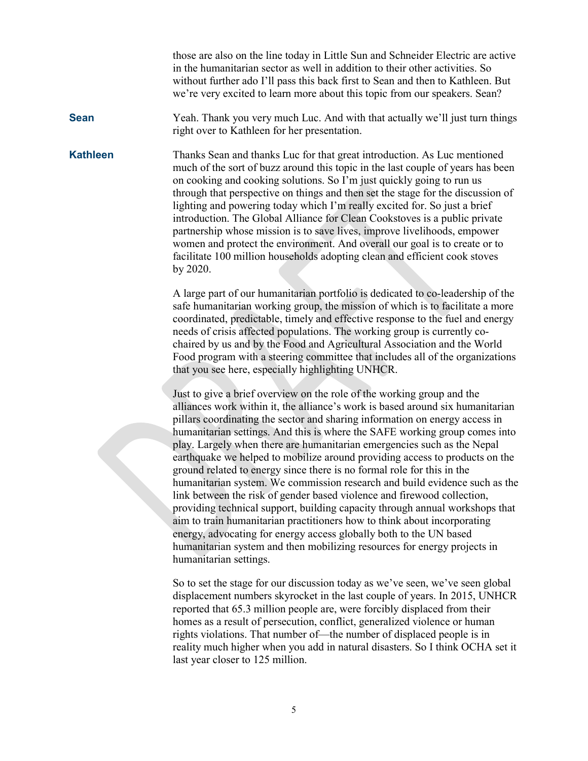those are also on the line today in Little Sun and Schneider Electric are active in the humanitarian sector as well in addition to their other activities. So without further ado I'll pass this back first to Sean and then to Kathleen. But we're very excited to learn more about this topic from our speakers. Sean?

**Sean** Yeah. Thank you very much Luc. And with that actually we'll just turn things right over to Kathleen for her presentation.

**Kathleen** Thanks Sean and thanks Luc for that great introduction. As Luc mentioned much of the sort of buzz around this topic in the last couple of years has been on cooking and cooking solutions. So I'm just quickly going to run us through that perspective on things and then set the stage for the discussion of lighting and powering today which I'm really excited for. So just a brief introduction. The Global Alliance for Clean Cookstoves is a public private partnership whose mission is to save lives, improve livelihoods, empower women and protect the environment. And overall our goal is to create or to facilitate 100 million households adopting clean and efficient cook stoves by 2020.

> A large part of our humanitarian portfolio is dedicated to co-leadership of the safe humanitarian working group, the mission of which is to facilitate a more coordinated, predictable, timely and effective response to the fuel and energy needs of crisis affected populations. The working group is currently cochaired by us and by the Food and Agricultural Association and the World Food program with a steering committee that includes all of the organizations that you see here, especially highlighting UNHCR.

> Just to give a brief overview on the role of the working group and the alliances work within it, the alliance's work is based around six humanitarian pillars coordinating the sector and sharing information on energy access in humanitarian settings. And this is where the SAFE working group comes into play. Largely when there are humanitarian emergencies such as the Nepal earthquake we helped to mobilize around providing access to products on the ground related to energy since there is no formal role for this in the humanitarian system. We commission research and build evidence such as the link between the risk of gender based violence and firewood collection, providing technical support, building capacity through annual workshops that aim to train humanitarian practitioners how to think about incorporating energy, advocating for energy access globally both to the UN based humanitarian system and then mobilizing resources for energy projects in humanitarian settings.

> So to set the stage for our discussion today as we've seen, we've seen global displacement numbers skyrocket in the last couple of years. In 2015, UNHCR reported that 65.3 million people are, were forcibly displaced from their homes as a result of persecution, conflict, generalized violence or human rights violations. That number of—the number of displaced people is in reality much higher when you add in natural disasters. So I think OCHA set it last year closer to 125 million.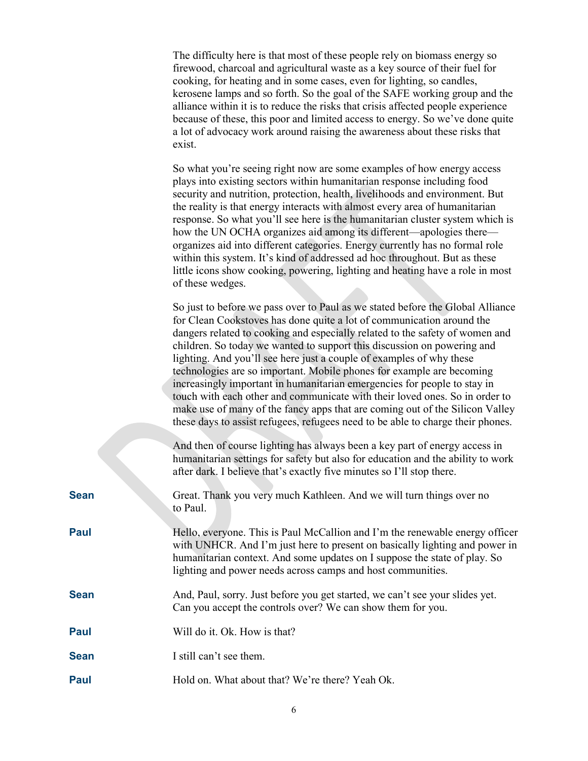|             | The difficulty here is that most of these people rely on biomass energy so<br>firewood, charcoal and agricultural waste as a key source of their fuel for<br>cooking, for heating and in some cases, even for lighting, so candles,<br>kerosene lamps and so forth. So the goal of the SAFE working group and the<br>alliance within it is to reduce the risks that crisis affected people experience<br>because of these, this poor and limited access to energy. So we've done quite<br>a lot of advocacy work around raising the awareness about these risks that<br>exist.                                                                                                                                                                                                                    |
|-------------|---------------------------------------------------------------------------------------------------------------------------------------------------------------------------------------------------------------------------------------------------------------------------------------------------------------------------------------------------------------------------------------------------------------------------------------------------------------------------------------------------------------------------------------------------------------------------------------------------------------------------------------------------------------------------------------------------------------------------------------------------------------------------------------------------|
|             | So what you're seeing right now are some examples of how energy access<br>plays into existing sectors within humanitarian response including food<br>security and nutrition, protection, health, livelihoods and environment. But<br>the reality is that energy interacts with almost every area of humanitarian<br>response. So what you'll see here is the humanitarian cluster system which is<br>how the UN OCHA organizes aid among its different—apologies there—<br>organizes aid into different categories. Energy currently has no formal role<br>within this system. It's kind of addressed ad hoc throughout. But as these<br>little icons show cooking, powering, lighting and heating have a role in most<br>of these wedges.                                                        |
|             | So just to before we pass over to Paul as we stated before the Global Alliance<br>for Clean Cookstoves has done quite a lot of communication around the<br>dangers related to cooking and especially related to the safety of women and<br>children. So today we wanted to support this discussion on powering and<br>lighting. And you'll see here just a couple of examples of why these<br>technologies are so important. Mobile phones for example are becoming<br>increasingly important in humanitarian emergencies for people to stay in<br>touch with each other and communicate with their loved ones. So in order to<br>make use of many of the fancy apps that are coming out of the Silicon Valley<br>these days to assist refugees, refugees need to be able to charge their phones. |
|             | And then of course lighting has always been a key part of energy access in<br>humanitarian settings for safety but also for education and the ability to work<br>after dark. I believe that's exactly five minutes so I'll stop there.                                                                                                                                                                                                                                                                                                                                                                                                                                                                                                                                                            |
| <b>Sean</b> | Great. Thank you very much Kathleen. And we will turn things over no<br>to Paul.                                                                                                                                                                                                                                                                                                                                                                                                                                                                                                                                                                                                                                                                                                                  |
| Paul        | Hello, everyone. This is Paul McCallion and I'm the renewable energy officer<br>with UNHCR. And I'm just here to present on basically lighting and power in<br>humanitarian context. And some updates on I suppose the state of play. So<br>lighting and power needs across camps and host communities.                                                                                                                                                                                                                                                                                                                                                                                                                                                                                           |
| <b>Sean</b> | And, Paul, sorry. Just before you get started, we can't see your slides yet.<br>Can you accept the controls over? We can show them for you.                                                                                                                                                                                                                                                                                                                                                                                                                                                                                                                                                                                                                                                       |
| <b>Paul</b> | Will do it. Ok. How is that?                                                                                                                                                                                                                                                                                                                                                                                                                                                                                                                                                                                                                                                                                                                                                                      |
| <b>Sean</b> | I still can't see them.                                                                                                                                                                                                                                                                                                                                                                                                                                                                                                                                                                                                                                                                                                                                                                           |
| Paul        | Hold on. What about that? We're there? Yeah Ok.                                                                                                                                                                                                                                                                                                                                                                                                                                                                                                                                                                                                                                                                                                                                                   |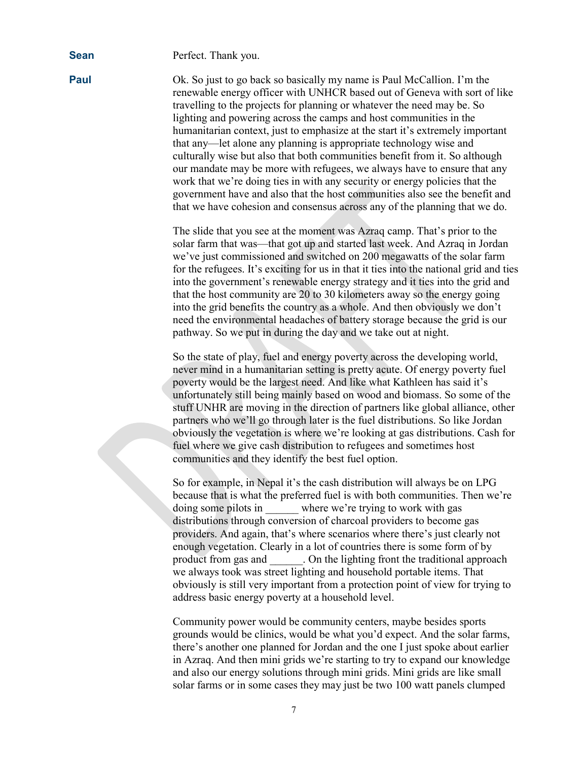**Sean** Perfect. Thank you.

**Paul** Ok. So just to go back so basically my name is Paul McCallion. I'm the renewable energy officer with UNHCR based out of Geneva with sort of like travelling to the projects for planning or whatever the need may be. So lighting and powering across the camps and host communities in the humanitarian context, just to emphasize at the start it's extremely important that any—let alone any planning is appropriate technology wise and culturally wise but also that both communities benefit from it. So although our mandate may be more with refugees, we always have to ensure that any work that we're doing ties in with any security or energy policies that the government have and also that the host communities also see the benefit and that we have cohesion and consensus across any of the planning that we do.

> The slide that you see at the moment was Azraq camp. That's prior to the solar farm that was—that got up and started last week. And Azraq in Jordan we've just commissioned and switched on 200 megawatts of the solar farm for the refugees. It's exciting for us in that it ties into the national grid and ties into the government's renewable energy strategy and it ties into the grid and that the host community are 20 to 30 kilometers away so the energy going into the grid benefits the country as a whole. And then obviously we don't need the environmental headaches of battery storage because the grid is our pathway. So we put in during the day and we take out at night.

> So the state of play, fuel and energy poverty across the developing world, never mind in a humanitarian setting is pretty acute. Of energy poverty fuel poverty would be the largest need. And like what Kathleen has said it's unfortunately still being mainly based on wood and biomass. So some of the stuff UNHR are moving in the direction of partners like global alliance, other partners who we'll go through later is the fuel distributions. So like Jordan obviously the vegetation is where we're looking at gas distributions. Cash for fuel where we give cash distribution to refugees and sometimes host communities and they identify the best fuel option.

So for example, in Nepal it's the cash distribution will always be on LPG because that is what the preferred fuel is with both communities. Then we're doing some pilots in where we're trying to work with gas distributions through conversion of charcoal providers to become gas providers. And again, that's where scenarios where there's just clearly not enough vegetation. Clearly in a lot of countries there is some form of by product from gas and \_\_\_\_\_\_. On the lighting front the traditional approach we always took was street lighting and household portable items. That obviously is still very important from a protection point of view for trying to address basic energy poverty at a household level.

Community power would be community centers, maybe besides sports grounds would be clinics, would be what you'd expect. And the solar farms, there's another one planned for Jordan and the one I just spoke about earlier in Azraq. And then mini grids we're starting to try to expand our knowledge and also our energy solutions through mini grids. Mini grids are like small solar farms or in some cases they may just be two 100 watt panels clumped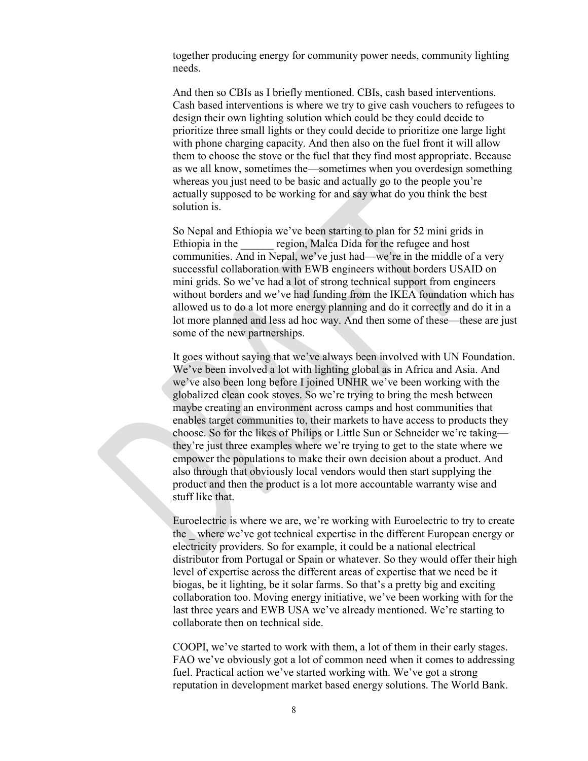together producing energy for community power needs, community lighting needs.

And then so CBIs as I briefly mentioned. CBIs, cash based interventions. Cash based interventions is where we try to give cash vouchers to refugees to design their own lighting solution which could be they could decide to prioritize three small lights or they could decide to prioritize one large light with phone charging capacity. And then also on the fuel front it will allow them to choose the stove or the fuel that they find most appropriate. Because as we all know, sometimes the—sometimes when you overdesign something whereas you just need to be basic and actually go to the people you're actually supposed to be working for and say what do you think the best solution is.

So Nepal and Ethiopia we've been starting to plan for 52 mini grids in Ethiopia in the region, Malca Dida for the refugee and host communities. And in Nepal, we've just had—we're in the middle of a very successful collaboration with EWB engineers without borders USAID on mini grids. So we've had a lot of strong technical support from engineers without borders and we've had funding from the IKEA foundation which has allowed us to do a lot more energy planning and do it correctly and do it in a lot more planned and less ad hoc way. And then some of these—these are just some of the new partnerships.

It goes without saying that we've always been involved with UN Foundation. We've been involved a lot with lighting global as in Africa and Asia. And we've also been long before I joined UNHR we've been working with the globalized clean cook stoves. So we're trying to bring the mesh between maybe creating an environment across camps and host communities that enables target communities to, their markets to have access to products they choose. So for the likes of Philips or Little Sun or Schneider we're taking they're just three examples where we're trying to get to the state where we empower the populations to make their own decision about a product. And also through that obviously local vendors would then start supplying the product and then the product is a lot more accountable warranty wise and stuff like that.

Euroelectric is where we are, we're working with Euroelectric to try to create the \_ where we've got technical expertise in the different European energy or electricity providers. So for example, it could be a national electrical distributor from Portugal or Spain or whatever. So they would offer their high level of expertise across the different areas of expertise that we need be it biogas, be it lighting, be it solar farms. So that's a pretty big and exciting collaboration too. Moving energy initiative, we've been working with for the last three years and EWB USA we've already mentioned. We're starting to collaborate then on technical side.

COOPI, we've started to work with them, a lot of them in their early stages. FAO we've obviously got a lot of common need when it comes to addressing fuel. Practical action we've started working with. We've got a strong reputation in development market based energy solutions. The World Bank.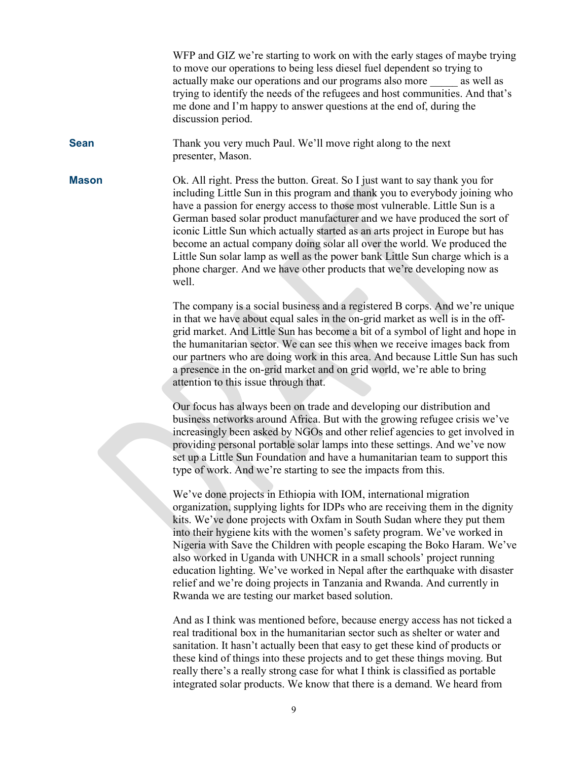WFP and GIZ we're starting to work on with the early stages of maybe trying to move our operations to being less diesel fuel dependent so trying to actually make our operations and our programs also more \_\_\_\_\_ as well as trying to identify the needs of the refugees and host communities. And that's me done and I'm happy to answer questions at the end of, during the discussion period.

**Sean** Thank you very much Paul. We'll move right along to the next presenter, Mason.

**Mason** Ok. All right. Press the button. Great. So I just want to say thank you for including Little Sun in this program and thank you to everybody joining who have a passion for energy access to those most vulnerable. Little Sun is a German based solar product manufacturer and we have produced the sort of iconic Little Sun which actually started as an arts project in Europe but has become an actual company doing solar all over the world. We produced the Little Sun solar lamp as well as the power bank Little Sun charge which is a phone charger. And we have other products that we're developing now as well.

> The company is a social business and a registered B corps. And we're unique in that we have about equal sales in the on-grid market as well is in the offgrid market. And Little Sun has become a bit of a symbol of light and hope in the humanitarian sector. We can see this when we receive images back from our partners who are doing work in this area. And because Little Sun has such a presence in the on-grid market and on grid world, we're able to bring attention to this issue through that.

> Our focus has always been on trade and developing our distribution and business networks around Africa. But with the growing refugee crisis we've increasingly been asked by NGOs and other relief agencies to get involved in providing personal portable solar lamps into these settings. And we've now set up a Little Sun Foundation and have a humanitarian team to support this type of work. And we're starting to see the impacts from this.

> We've done projects in Ethiopia with IOM, international migration organization, supplying lights for IDPs who are receiving them in the dignity kits. We've done projects with Oxfam in South Sudan where they put them into their hygiene kits with the women's safety program. We've worked in Nigeria with Save the Children with people escaping the Boko Haram. We've also worked in Uganda with UNHCR in a small schools' project running education lighting. We've worked in Nepal after the earthquake with disaster relief and we're doing projects in Tanzania and Rwanda. And currently in Rwanda we are testing our market based solution.

And as I think was mentioned before, because energy access has not ticked a real traditional box in the humanitarian sector such as shelter or water and sanitation. It hasn't actually been that easy to get these kind of products or these kind of things into these projects and to get these things moving. But really there's a really strong case for what I think is classified as portable integrated solar products. We know that there is a demand. We heard from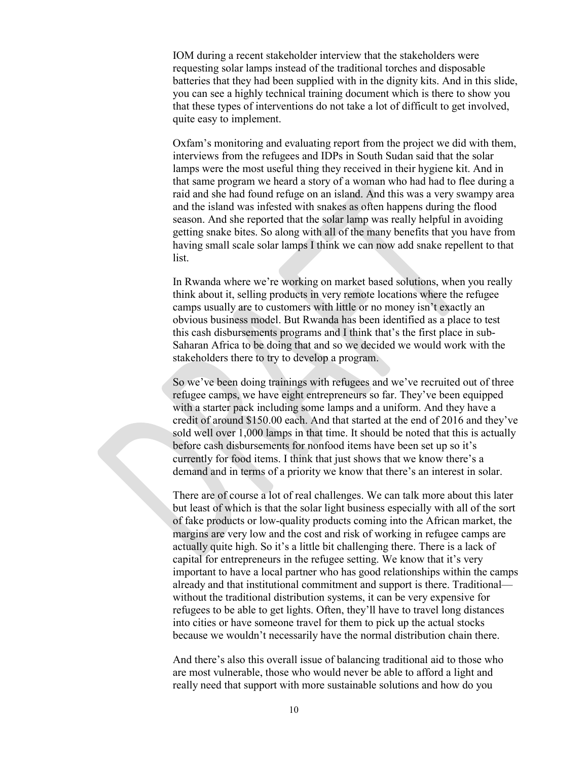IOM during a recent stakeholder interview that the stakeholders were requesting solar lamps instead of the traditional torches and disposable batteries that they had been supplied with in the dignity kits. And in this slide, you can see a highly technical training document which is there to show you that these types of interventions do not take a lot of difficult to get involved, quite easy to implement.

Oxfam's monitoring and evaluating report from the project we did with them, interviews from the refugees and IDPs in South Sudan said that the solar lamps were the most useful thing they received in their hygiene kit. And in that same program we heard a story of a woman who had had to flee during a raid and she had found refuge on an island. And this was a very swampy area and the island was infested with snakes as often happens during the flood season. And she reported that the solar lamp was really helpful in avoiding getting snake bites. So along with all of the many benefits that you have from having small scale solar lamps I think we can now add snake repellent to that list.

In Rwanda where we're working on market based solutions, when you really think about it, selling products in very remote locations where the refugee camps usually are to customers with little or no money isn't exactly an obvious business model. But Rwanda has been identified as a place to test this cash disbursements programs and I think that's the first place in sub-Saharan Africa to be doing that and so we decided we would work with the stakeholders there to try to develop a program.

So we've been doing trainings with refugees and we've recruited out of three refugee camps, we have eight entrepreneurs so far. They've been equipped with a starter pack including some lamps and a uniform. And they have a credit of around \$150.00 each. And that started at the end of 2016 and they've sold well over 1,000 lamps in that time. It should be noted that this is actually before cash disbursements for nonfood items have been set up so it's currently for food items. I think that just shows that we know there's a demand and in terms of a priority we know that there's an interest in solar.

There are of course a lot of real challenges. We can talk more about this later but least of which is that the solar light business especially with all of the sort of fake products or low-quality products coming into the African market, the margins are very low and the cost and risk of working in refugee camps are actually quite high. So it's a little bit challenging there. There is a lack of capital for entrepreneurs in the refugee setting. We know that it's very important to have a local partner who has good relationships within the camps already and that institutional commitment and support is there. Traditional without the traditional distribution systems, it can be very expensive for refugees to be able to get lights. Often, they'll have to travel long distances into cities or have someone travel for them to pick up the actual stocks because we wouldn't necessarily have the normal distribution chain there.

And there's also this overall issue of balancing traditional aid to those who are most vulnerable, those who would never be able to afford a light and really need that support with more sustainable solutions and how do you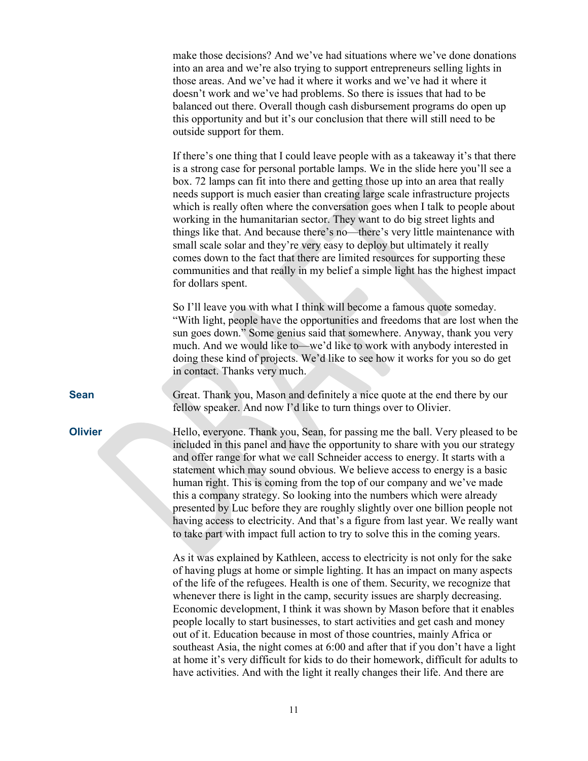make those decisions? And we've had situations where we've done donations into an area and we're also trying to support entrepreneurs selling lights in those areas. And we've had it where it works and we've had it where it doesn't work and we've had problems. So there is issues that had to be balanced out there. Overall though cash disbursement programs do open up this opportunity and but it's our conclusion that there will still need to be outside support for them.

If there's one thing that I could leave people with as a takeaway it's that there is a strong case for personal portable lamps. We in the slide here you'll see a box. 72 lamps can fit into there and getting those up into an area that really needs support is much easier than creating large scale infrastructure projects which is really often where the conversation goes when I talk to people about working in the humanitarian sector. They want to do big street lights and things like that. And because there's no—there's very little maintenance with small scale solar and they're very easy to deploy but ultimately it really comes down to the fact that there are limited resources for supporting these communities and that really in my belief a simple light has the highest impact for dollars spent.

So I'll leave you with what I think will become a famous quote someday. "With light, people have the opportunities and freedoms that are lost when the sun goes down." Some genius said that somewhere. Anyway, thank you very much. And we would like to—we'd like to work with anybody interested in doing these kind of projects. We'd like to see how it works for you so do get in contact. Thanks very much.

**Sean** Great. Thank you, Mason and definitely a nice quote at the end there by our fellow speaker. And now I'd like to turn things over to Olivier.

**Olivier** Hello, everyone. Thank you, Sean, for passing me the ball. Very pleased to be included in this panel and have the opportunity to share with you our strategy and offer range for what we call Schneider access to energy. It starts with a statement which may sound obvious. We believe access to energy is a basic human right. This is coming from the top of our company and we've made this a company strategy. So looking into the numbers which were already presented by Luc before they are roughly slightly over one billion people not having access to electricity. And that's a figure from last year. We really want to take part with impact full action to try to solve this in the coming years.

> As it was explained by Kathleen, access to electricity is not only for the sake of having plugs at home or simple lighting. It has an impact on many aspects of the life of the refugees. Health is one of them. Security, we recognize that whenever there is light in the camp, security issues are sharply decreasing. Economic development, I think it was shown by Mason before that it enables people locally to start businesses, to start activities and get cash and money out of it. Education because in most of those countries, mainly Africa or southeast Asia, the night comes at 6:00 and after that if you don't have a light at home it's very difficult for kids to do their homework, difficult for adults to have activities. And with the light it really changes their life. And there are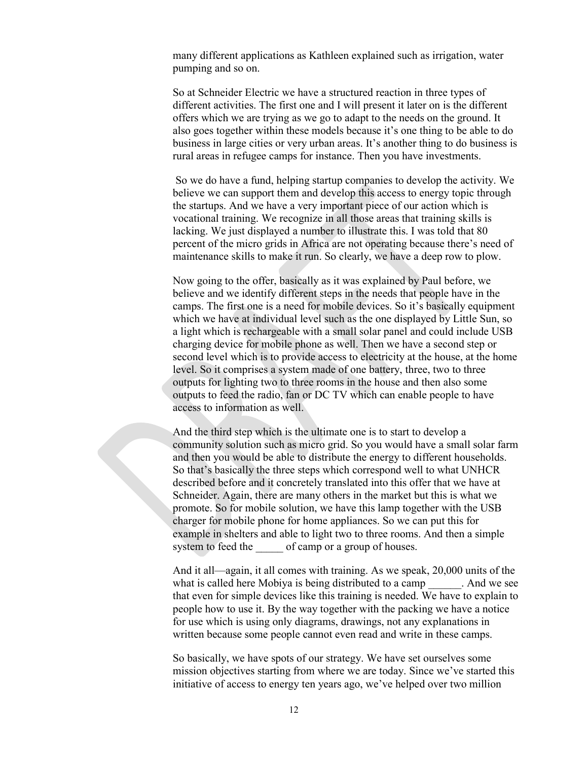many different applications as Kathleen explained such as irrigation, water pumping and so on.

So at Schneider Electric we have a structured reaction in three types of different activities. The first one and I will present it later on is the different offers which we are trying as we go to adapt to the needs on the ground. It also goes together within these models because it's one thing to be able to do business in large cities or very urban areas. It's another thing to do business is rural areas in refugee camps for instance. Then you have investments.

So we do have a fund, helping startup companies to develop the activity. We believe we can support them and develop this access to energy topic through the startups. And we have a very important piece of our action which is vocational training. We recognize in all those areas that training skills is lacking. We just displayed a number to illustrate this. I was told that 80 percent of the micro grids in Africa are not operating because there's need of maintenance skills to make it run. So clearly, we have a deep row to plow.

Now going to the offer, basically as it was explained by Paul before, we believe and we identify different steps in the needs that people have in the camps. The first one is a need for mobile devices. So it's basically equipment which we have at individual level such as the one displayed by Little Sun, so a light which is rechargeable with a small solar panel and could include USB charging device for mobile phone as well. Then we have a second step or second level which is to provide access to electricity at the house, at the home level. So it comprises a system made of one battery, three, two to three outputs for lighting two to three rooms in the house and then also some outputs to feed the radio, fan or DC TV which can enable people to have access to information as well.

And the third step which is the ultimate one is to start to develop a community solution such as micro grid. So you would have a small solar farm and then you would be able to distribute the energy to different households. So that's basically the three steps which correspond well to what UNHCR described before and it concretely translated into this offer that we have at Schneider. Again, there are many others in the market but this is what we promote. So for mobile solution, we have this lamp together with the USB charger for mobile phone for home appliances. So we can put this for example in shelters and able to light two to three rooms. And then a simple system to feed the of camp or a group of houses.

And it all—again, it all comes with training. As we speak, 20,000 units of the what is called here Mobiya is being distributed to a camp \_\_\_\_\_\_. And we see that even for simple devices like this training is needed. We have to explain to people how to use it. By the way together with the packing we have a notice for use which is using only diagrams, drawings, not any explanations in written because some people cannot even read and write in these camps.

So basically, we have spots of our strategy. We have set ourselves some mission objectives starting from where we are today. Since we've started this initiative of access to energy ten years ago, we've helped over two million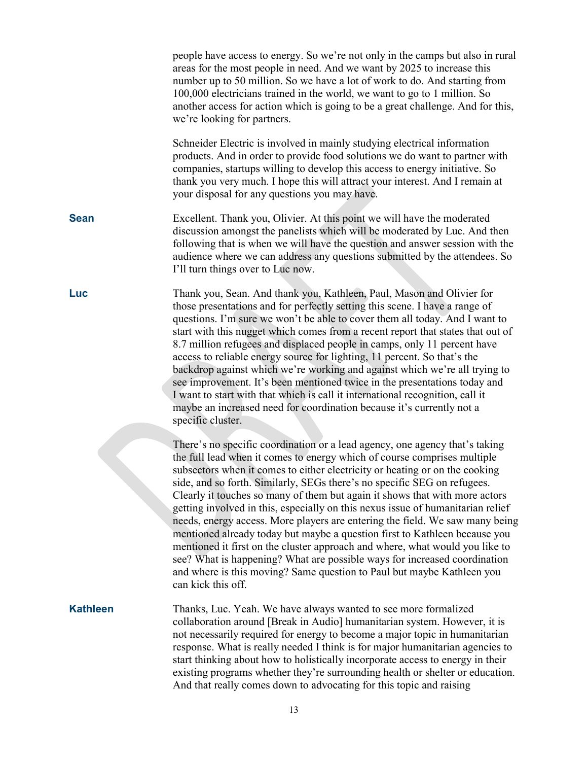|                 | people have access to energy. So we're not only in the camps but also in rural<br>areas for the most people in need. And we want by 2025 to increase this<br>number up to 50 million. So we have a lot of work to do. And starting from<br>100,000 electricians trained in the world, we want to go to 1 million. So<br>another access for action which is going to be a great challenge. And for this,<br>we're looking for partners.                                                                                                                                                                                                                                                                                                                                                                                                                                                                          |
|-----------------|-----------------------------------------------------------------------------------------------------------------------------------------------------------------------------------------------------------------------------------------------------------------------------------------------------------------------------------------------------------------------------------------------------------------------------------------------------------------------------------------------------------------------------------------------------------------------------------------------------------------------------------------------------------------------------------------------------------------------------------------------------------------------------------------------------------------------------------------------------------------------------------------------------------------|
|                 | Schneider Electric is involved in mainly studying electrical information<br>products. And in order to provide food solutions we do want to partner with<br>companies, startups willing to develop this access to energy initiative. So<br>thank you very much. I hope this will attract your interest. And I remain at<br>your disposal for any questions you may have.                                                                                                                                                                                                                                                                                                                                                                                                                                                                                                                                         |
| <b>Sean</b>     | Excellent. Thank you, Olivier. At this point we will have the moderated<br>discussion amongst the panelists which will be moderated by Luc. And then<br>following that is when we will have the question and answer session with the<br>audience where we can address any questions submitted by the attendees. So<br>I'll turn things over to Luc now.                                                                                                                                                                                                                                                                                                                                                                                                                                                                                                                                                         |
| Luc             | Thank you, Sean. And thank you, Kathleen, Paul, Mason and Olivier for<br>those presentations and for perfectly setting this scene. I have a range of<br>questions. I'm sure we won't be able to cover them all today. And I want to<br>start with this nugget which comes from a recent report that states that out of<br>8.7 million refugees and displaced people in camps, only 11 percent have<br>access to reliable energy source for lighting, 11 percent. So that's the<br>backdrop against which we're working and against which we're all trying to<br>see improvement. It's been mentioned twice in the presentations today and<br>I want to start with that which is call it international recognition, call it<br>maybe an increased need for coordination because it's currently not a<br>specific cluster.                                                                                        |
|                 | There's no specific coordination or a lead agency, one agency that's taking<br>the full lead when it comes to energy which of course comprises multiple<br>subsectors when it comes to either electricity or heating or on the cooking<br>side, and so forth. Similarly, SEGs there's no specific SEG on refugees.<br>Clearly it touches so many of them but again it shows that with more actors<br>getting involved in this, especially on this nexus issue of humanitarian relief<br>needs, energy access. More players are entering the field. We saw many being<br>mentioned already today but maybe a question first to Kathleen because you<br>mentioned it first on the cluster approach and where, what would you like to<br>see? What is happening? What are possible ways for increased coordination<br>and where is this moving? Same question to Paul but maybe Kathleen you<br>can kick this off. |
| <b>Kathleen</b> | Thanks, Luc. Yeah. We have always wanted to see more formalized<br>collaboration around [Break in Audio] humanitarian system. However, it is<br>not necessarily required for energy to become a major topic in humanitarian<br>response. What is really needed I think is for major humanitarian agencies to<br>start thinking about how to holistically incorporate access to energy in their<br>existing programs whether they're surrounding health or shelter or education.<br>And that really comes down to advocating for this topic and raising                                                                                                                                                                                                                                                                                                                                                          |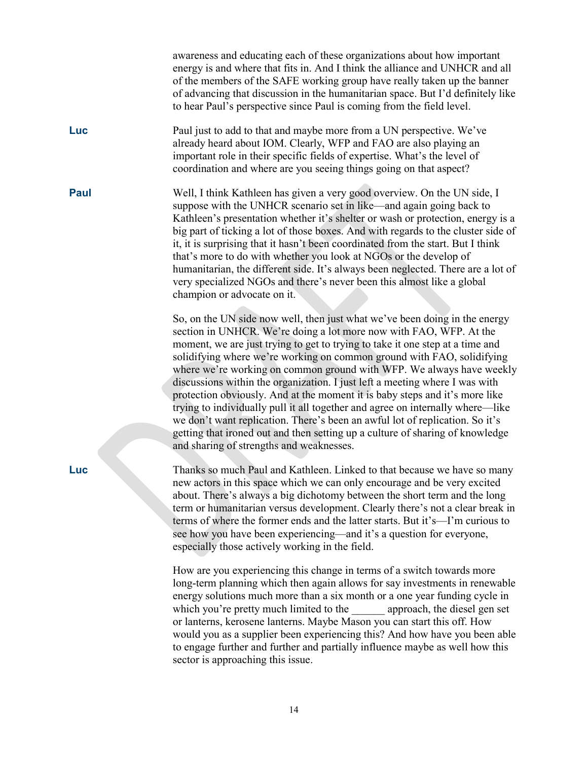awareness and educating each of these organizations about how important energy is and where that fits in. And I think the alliance and UNHCR and all of the members of the SAFE working group have really taken up the banner of advancing that discussion in the humanitarian space. But I'd definitely like to hear Paul's perspective since Paul is coming from the field level.

**Luc** Paul just to add to that and maybe more from a UN perspective. We've already heard about IOM. Clearly, WFP and FAO are also playing an important role in their specific fields of expertise. What's the level of coordination and where are you seeing things going on that aspect?

**Paul** Well, I think Kathleen has given a very good overview. On the UN side, I suppose with the UNHCR scenario set in like—and again going back to Kathleen's presentation whether it's shelter or wash or protection, energy is a big part of ticking a lot of those boxes. And with regards to the cluster side of it, it is surprising that it hasn't been coordinated from the start. But I think that's more to do with whether you look at NGOs or the develop of humanitarian, the different side. It's always been neglected. There are a lot of very specialized NGOs and there's never been this almost like a global champion or advocate on it.

> So, on the UN side now well, then just what we've been doing in the energy section in UNHCR. We're doing a lot more now with FAO, WFP. At the moment, we are just trying to get to trying to take it one step at a time and solidifying where we're working on common ground with FAO, solidifying where we're working on common ground with WFP. We always have weekly discussions within the organization. I just left a meeting where I was with protection obviously. And at the moment it is baby steps and it's more like trying to individually pull it all together and agree on internally where—like we don't want replication. There's been an awful lot of replication. So it's getting that ironed out and then setting up a culture of sharing of knowledge and sharing of strengths and weaknesses.

**Luc** Thanks so much Paul and Kathleen. Linked to that because we have so many new actors in this space which we can only encourage and be very excited about. There's always a big dichotomy between the short term and the long term or humanitarian versus development. Clearly there's not a clear break in terms of where the former ends and the latter starts. But it's—I'm curious to see how you have been experiencing—and it's a question for everyone, especially those actively working in the field.

> How are you experiencing this change in terms of a switch towards more long-term planning which then again allows for say investments in renewable energy solutions much more than a six month or a one year funding cycle in which you're pretty much limited to the approach, the diesel gen set or lanterns, kerosene lanterns. Maybe Mason you can start this off. How would you as a supplier been experiencing this? And how have you been able to engage further and further and partially influence maybe as well how this sector is approaching this issue.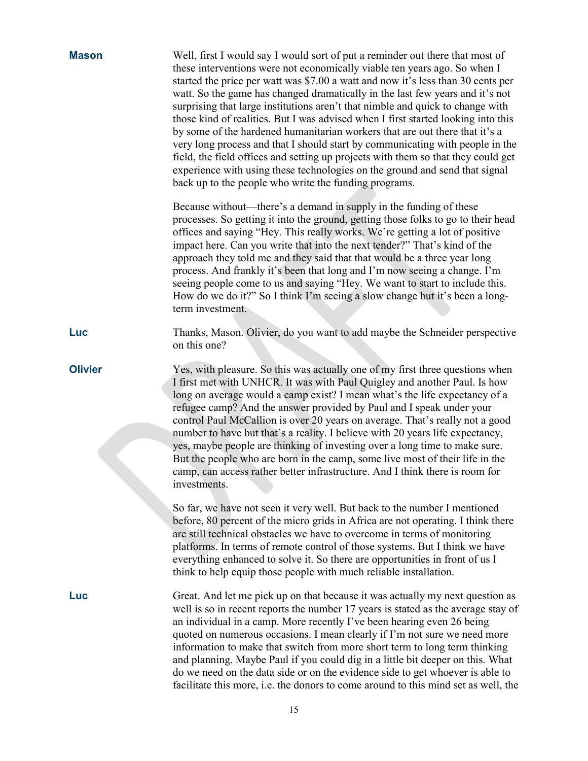| <b>Mason</b>   | Well, first I would say I would sort of put a reminder out there that most of<br>these interventions were not economically viable ten years ago. So when I<br>started the price per watt was \$7.00 a watt and now it's less than 30 cents per<br>watt. So the game has changed dramatically in the last few years and it's not<br>surprising that large institutions aren't that nimble and quick to change with<br>those kind of realities. But I was advised when I first started looking into this<br>by some of the hardened humanitarian workers that are out there that it's a<br>very long process and that I should start by communicating with people in the<br>field, the field offices and setting up projects with them so that they could get<br>experience with using these technologies on the ground and send that signal<br>back up to the people who write the funding programs. |
|----------------|-----------------------------------------------------------------------------------------------------------------------------------------------------------------------------------------------------------------------------------------------------------------------------------------------------------------------------------------------------------------------------------------------------------------------------------------------------------------------------------------------------------------------------------------------------------------------------------------------------------------------------------------------------------------------------------------------------------------------------------------------------------------------------------------------------------------------------------------------------------------------------------------------------|
|                | Because without—there's a demand in supply in the funding of these<br>processes. So getting it into the ground, getting those folks to go to their head<br>offices and saying "Hey. This really works. We're getting a lot of positive<br>impact here. Can you write that into the next tender?" That's kind of the<br>approach they told me and they said that that would be a three year long<br>process. And frankly it's been that long and I'm now seeing a change. I'm<br>seeing people come to us and saying "Hey. We want to start to include this.<br>How do we do it?" So I think I'm seeing a slow change but it's been a long-<br>term investment.                                                                                                                                                                                                                                      |
| Luc            | Thanks, Mason. Olivier, do you want to add maybe the Schneider perspective<br>on this one?                                                                                                                                                                                                                                                                                                                                                                                                                                                                                                                                                                                                                                                                                                                                                                                                          |
| <b>Olivier</b> | Yes, with pleasure. So this was actually one of my first three questions when<br>I first met with UNHCR. It was with Paul Quigley and another Paul. Is how<br>long on average would a camp exist? I mean what's the life expectancy of a<br>refugee camp? And the answer provided by Paul and I speak under your<br>control Paul McCallion is over 20 years on average. That's really not a good<br>number to have but that's a reality. I believe with 20 years life expectancy,<br>yes, maybe people are thinking of investing over a long time to make sure.<br>But the people who are born in the camp, some live most of their life in the<br>camp, can access rather better infrastructure. And I think there is room for<br>investments.                                                                                                                                                     |
|                | So far, we have not seen it very well. But back to the number I mentioned<br>before, 80 percent of the micro grids in Africa are not operating. I think there<br>are still technical obstacles we have to overcome in terms of monitoring<br>platforms. In terms of remote control of those systems. But I think we have<br>everything enhanced to solve it. So there are opportunities in front of us I<br>think to help equip those people with much reliable installation.                                                                                                                                                                                                                                                                                                                                                                                                                       |
| <b>Luc</b>     | Great. And let me pick up on that because it was actually my next question as<br>well is so in recent reports the number 17 years is stated as the average stay of<br>an individual in a camp. More recently I've been hearing even 26 being<br>quoted on numerous occasions. I mean clearly if I'm not sure we need more<br>information to make that switch from more short term to long term thinking<br>and planning. Maybe Paul if you could dig in a little bit deeper on this. What<br>do we need on the data side or on the evidence side to get whoever is able to<br>facilitate this more, <i>i.e.</i> the donors to come around to this mind set as well, the                                                                                                                                                                                                                             |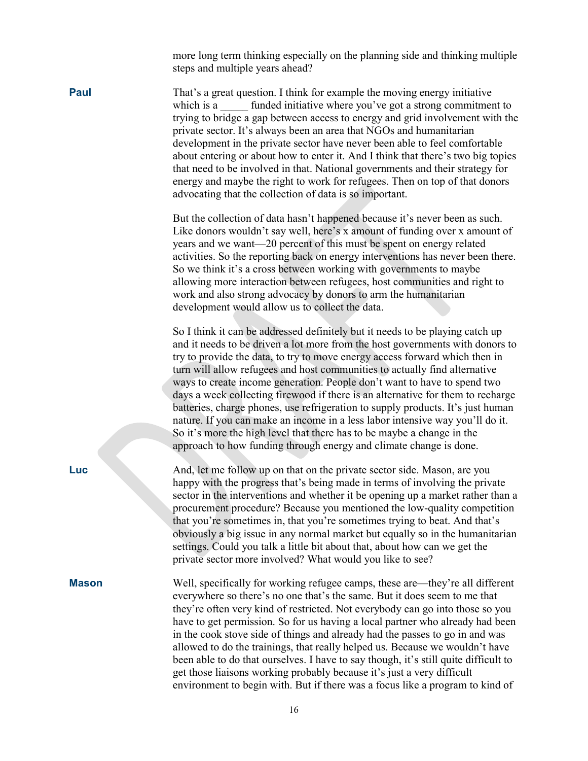more long term thinking especially on the planning side and thinking multiple steps and multiple years ahead?

**Paul** That's a great question. I think for example the moving energy initiative which is a funded initiative where you've got a strong commitment to trying to bridge a gap between access to energy and grid involvement with the private sector. It's always been an area that NGOs and humanitarian development in the private sector have never been able to feel comfortable about entering or about how to enter it. And I think that there's two big topics that need to be involved in that. National governments and their strategy for energy and maybe the right to work for refugees. Then on top of that donors advocating that the collection of data is so important.

> But the collection of data hasn't happened because it's never been as such. Like donors wouldn't say well, here's x amount of funding over x amount of years and we want—20 percent of this must be spent on energy related activities. So the reporting back on energy interventions has never been there. So we think it's a cross between working with governments to maybe allowing more interaction between refugees, host communities and right to work and also strong advocacy by donors to arm the humanitarian development would allow us to collect the data.

> So I think it can be addressed definitely but it needs to be playing catch up and it needs to be driven a lot more from the host governments with donors to try to provide the data, to try to move energy access forward which then in turn will allow refugees and host communities to actually find alternative ways to create income generation. People don't want to have to spend two days a week collecting firewood if there is an alternative for them to recharge batteries, charge phones, use refrigeration to supply products. It's just human nature. If you can make an income in a less labor intensive way you'll do it. So it's more the high level that there has to be maybe a change in the approach to how funding through energy and climate change is done.

**Luc** And, let me follow up on that on the private sector side. Mason, are you happy with the progress that's being made in terms of involving the private sector in the interventions and whether it be opening up a market rather than a procurement procedure? Because you mentioned the low-quality competition that you're sometimes in, that you're sometimes trying to beat. And that's obviously a big issue in any normal market but equally so in the humanitarian settings. Could you talk a little bit about that, about how can we get the private sector more involved? What would you like to see?

**Mason** Well, specifically for working refugee camps, these are—they're all different everywhere so there's no one that's the same. But it does seem to me that they're often very kind of restricted. Not everybody can go into those so you have to get permission. So for us having a local partner who already had been in the cook stove side of things and already had the passes to go in and was allowed to do the trainings, that really helped us. Because we wouldn't have been able to do that ourselves. I have to say though, it's still quite difficult to get those liaisons working probably because it's just a very difficult environment to begin with. But if there was a focus like a program to kind of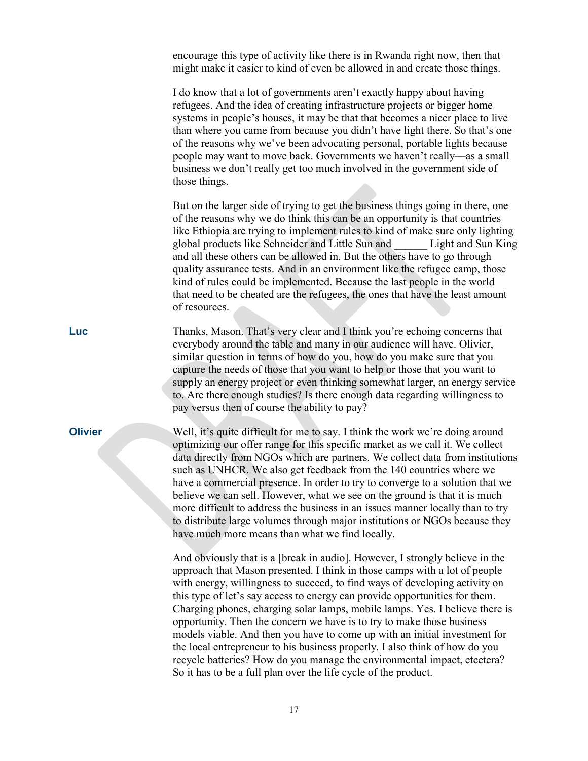encourage this type of activity like there is in Rwanda right now, then that might make it easier to kind of even be allowed in and create those things. I do know that a lot of governments aren't exactly happy about having refugees. And the idea of creating infrastructure projects or bigger home systems in people's houses, it may be that that becomes a nicer place to live than where you came from because you didn't have light there. So that's one of the reasons why we've been advocating personal, portable lights because people may want to move back. Governments we haven't really—as a small business we don't really get too much involved in the government side of those things. But on the larger side of trying to get the business things going in there, one of the reasons why we do think this can be an opportunity is that countries like Ethiopia are trying to implement rules to kind of make sure only lighting global products like Schneider and Little Sun and \_\_\_\_\_\_ Light and Sun King and all these others can be allowed in. But the others have to go through quality assurance tests. And in an environment like the refugee camp, those kind of rules could be implemented. Because the last people in the world that need to be cheated are the refugees, the ones that have the least amount of resources. **Luc** Thanks, Mason. That's very clear and I think you're echoing concerns that everybody around the table and many in our audience will have. Olivier, similar question in terms of how do you, how do you make sure that you capture the needs of those that you want to help or those that you want to supply an energy project or even thinking somewhat larger, an energy service to. Are there enough studies? Is there enough data regarding willingness to pay versus then of course the ability to pay? **Olivier** Well, it's quite difficult for me to say. I think the work we're doing around optimizing our offer range for this specific market as we call it. We collect data directly from NGOs which are partners. We collect data from institutions such as UNHCR. We also get feedback from the 140 countries where we have a commercial presence. In order to try to converge to a solution that we believe we can sell. However, what we see on the ground is that it is much more difficult to address the business in an issues manner locally than to try to distribute large volumes through major institutions or NGOs because they have much more means than what we find locally. And obviously that is a [break in audio]. However, I strongly believe in the approach that Mason presented. I think in those camps with a lot of people with energy, willingness to succeed, to find ways of developing activity on this type of let's say access to energy can provide opportunities for them. Charging phones, charging solar lamps, mobile lamps. Yes. I believe there is opportunity. Then the concern we have is to try to make those business models viable. And then you have to come up with an initial investment for the local entrepreneur to his business properly. I also think of how do you recycle batteries? How do you manage the environmental impact, etcetera?

So it has to be a full plan over the life cycle of the product.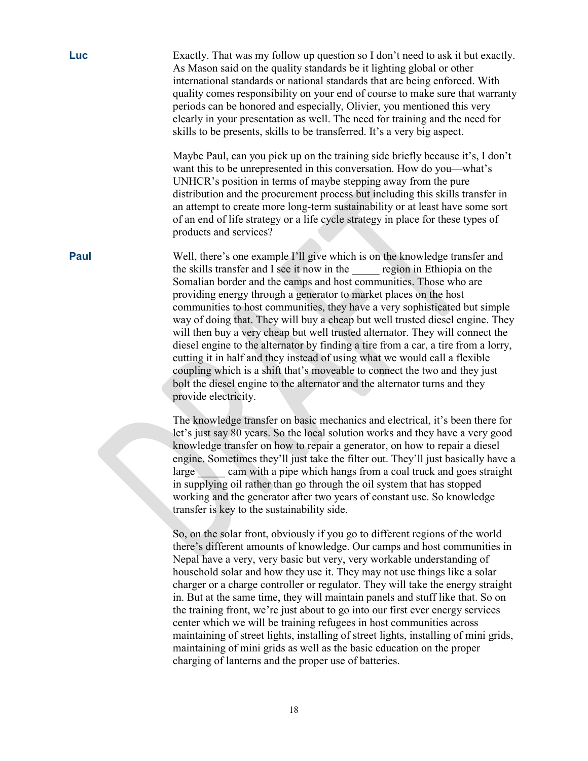| Luc         | Exactly. That was my follow up question so I don't need to ask it but exactly.<br>As Mason said on the quality standards be it lighting global or other<br>international standards or national standards that are being enforced. With<br>quality comes responsibility on your end of course to make sure that warranty<br>periods can be honored and especially, Olivier, you mentioned this very<br>clearly in your presentation as well. The need for training and the need for<br>skills to be presents, skills to be transferred. It's a very big aspect.                                                                                                                                                                                                                                                                                                                                        |
|-------------|-------------------------------------------------------------------------------------------------------------------------------------------------------------------------------------------------------------------------------------------------------------------------------------------------------------------------------------------------------------------------------------------------------------------------------------------------------------------------------------------------------------------------------------------------------------------------------------------------------------------------------------------------------------------------------------------------------------------------------------------------------------------------------------------------------------------------------------------------------------------------------------------------------|
|             | Maybe Paul, can you pick up on the training side briefly because it's, I don't<br>want this to be unrepresented in this conversation. How do you—what's<br>UNHCR's position in terms of maybe stepping away from the pure<br>distribution and the procurement process but including this skills transfer in<br>an attempt to create more long-term sustainability or at least have some sort<br>of an end of life strategy or a life cycle strategy in place for these types of<br>products and services?                                                                                                                                                                                                                                                                                                                                                                                             |
| <b>Paul</b> | Well, there's one example I'll give which is on the knowledge transfer and<br>the skills transfer and I see it now in the region in Ethiopia on the<br>Somalian border and the camps and host communities. Those who are<br>providing energy through a generator to market places on the host<br>communities to host communities, they have a very sophisticated but simple<br>way of doing that. They will buy a cheap but well trusted diesel engine. They<br>will then buy a very cheap but well trusted alternator. They will connect the<br>diesel engine to the alternator by finding a tire from a car, a tire from a lorry,<br>cutting it in half and they instead of using what we would call a flexible<br>coupling which is a shift that's moveable to connect the two and they just<br>bolt the diesel engine to the alternator and the alternator turns and they<br>provide electricity. |
|             | The knowledge transfer on basic mechanics and electrical, it's been there for<br>let's just say 80 years. So the local solution works and they have a very good<br>knowledge transfer on how to repair a generator, on how to repair a diesel<br>engine. Sometimes they'll just take the filter out. They'll just basically have a<br>large cam with a pipe which hangs from a coal truck and goes straight<br>in supplying oil rather than go through the oil system that has stopped<br>working and the generator after two years of constant use. So knowledge<br>transfer is key to the sustainability side.                                                                                                                                                                                                                                                                                      |
|             | So, on the solar front, obviously if you go to different regions of the world<br>there's different amounts of knowledge. Our camps and host communities in<br>Nepal have a very, very basic but very, very workable understanding of<br>household solar and how they use it. They may not use things like a solar<br>charger or a charge controller or regulator. They will take the energy straight<br>in. But at the same time, they will maintain panels and stuff like that. So on<br>the training front, we're just about to go into our first ever energy services<br>center which we will be training refugees in host communities across                                                                                                                                                                                                                                                      |

maintaining of street lights, installing of street lights, installing of mini grids, maintaining of mini grids as well as the basic education on the proper charging of lanterns and the proper use of batteries.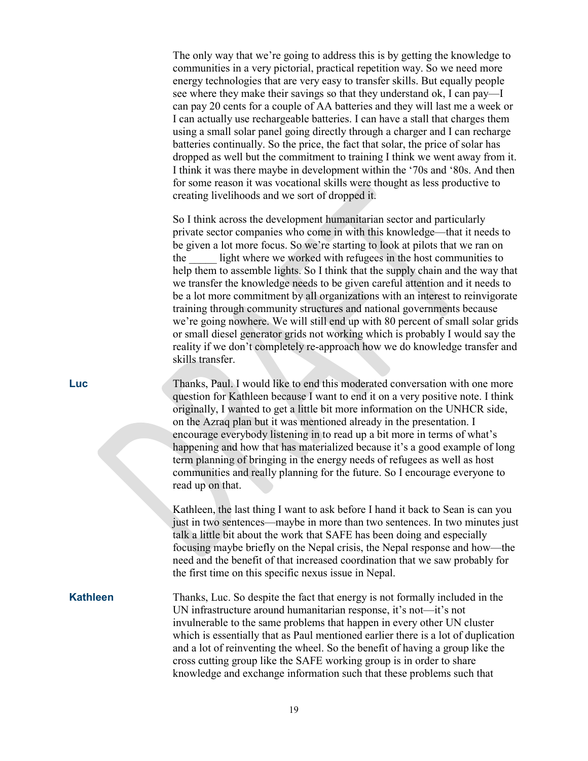The only way that we're going to address this is by getting the knowledge to communities in a very pictorial, practical repetition way. So we need more energy technologies that are very easy to transfer skills. But equally people see where they make their savings so that they understand ok, I can pay—I can pay 20 cents for a couple of AA batteries and they will last me a week or I can actually use rechargeable batteries. I can have a stall that charges them using a small solar panel going directly through a charger and I can recharge batteries continually. So the price, the fact that solar, the price of solar has dropped as well but the commitment to training I think we went away from it. I think it was there maybe in development within the '70s and '80s. And then for some reason it was vocational skills were thought as less productive to creating livelihoods and we sort of dropped it.

So I think across the development humanitarian sector and particularly private sector companies who come in with this knowledge—that it needs to be given a lot more focus. So we're starting to look at pilots that we ran on the light where we worked with refugees in the host communities to help them to assemble lights. So I think that the supply chain and the way that we transfer the knowledge needs to be given careful attention and it needs to be a lot more commitment by all organizations with an interest to reinvigorate training through community structures and national governments because we're going nowhere. We will still end up with 80 percent of small solar grids or small diesel generator grids not working which is probably I would say the reality if we don't completely re-approach how we do knowledge transfer and skills transfer.

**Luc** Thanks, Paul. I would like to end this moderated conversation with one more question for Kathleen because I want to end it on a very positive note. I think originally, I wanted to get a little bit more information on the UNHCR side, on the Azraq plan but it was mentioned already in the presentation. I encourage everybody listening in to read up a bit more in terms of what's happening and how that has materialized because it's a good example of long term planning of bringing in the energy needs of refugees as well as host communities and really planning for the future. So I encourage everyone to read up on that.

> Kathleen, the last thing I want to ask before I hand it back to Sean is can you just in two sentences—maybe in more than two sentences. In two minutes just talk a little bit about the work that SAFE has been doing and especially focusing maybe briefly on the Nepal crisis, the Nepal response and how—the need and the benefit of that increased coordination that we saw probably for the first time on this specific nexus issue in Nepal.

**Kathleen** Thanks, Luc. So despite the fact that energy is not formally included in the UN infrastructure around humanitarian response, it's not—it's not invulnerable to the same problems that happen in every other UN cluster which is essentially that as Paul mentioned earlier there is a lot of duplication and a lot of reinventing the wheel. So the benefit of having a group like the cross cutting group like the SAFE working group is in order to share knowledge and exchange information such that these problems such that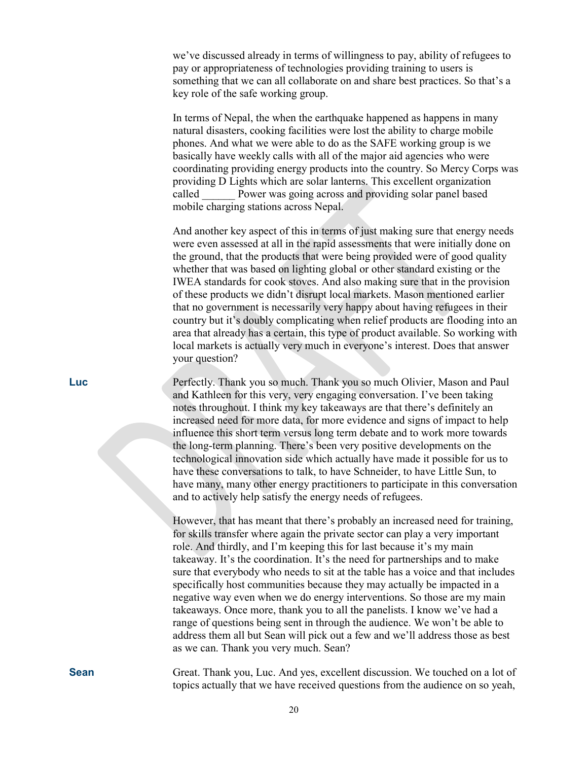we've discussed already in terms of willingness to pay, ability of refugees to pay or appropriateness of technologies providing training to users is something that we can all collaborate on and share best practices. So that's a key role of the safe working group.

In terms of Nepal, the when the earthquake happened as happens in many natural disasters, cooking facilities were lost the ability to charge mobile phones. And what we were able to do as the SAFE working group is we basically have weekly calls with all of the major aid agencies who were coordinating providing energy products into the country. So Mercy Corps was providing D Lights which are solar lanterns. This excellent organization called **Power was going across and providing solar panel based** mobile charging stations across Nepal.

And another key aspect of this in terms of just making sure that energy needs were even assessed at all in the rapid assessments that were initially done on the ground, that the products that were being provided were of good quality whether that was based on lighting global or other standard existing or the IWEA standards for cook stoves. And also making sure that in the provision of these products we didn't disrupt local markets. Mason mentioned earlier that no government is necessarily very happy about having refugees in their country but it's doubly complicating when relief products are flooding into an area that already has a certain, this type of product available. So working with local markets is actually very much in everyone's interest. Does that answer your question?

**Luc** Perfectly. Thank you so much. Thank you so much Olivier, Mason and Paul and Kathleen for this very, very engaging conversation. I've been taking notes throughout. I think my key takeaways are that there's definitely an increased need for more data, for more evidence and signs of impact to help influence this short term versus long term debate and to work more towards the long-term planning. There's been very positive developments on the technological innovation side which actually have made it possible for us to have these conversations to talk, to have Schneider, to have Little Sun, to have many, many other energy practitioners to participate in this conversation and to actively help satisfy the energy needs of refugees.

> However, that has meant that there's probably an increased need for training, for skills transfer where again the private sector can play a very important role. And thirdly, and I'm keeping this for last because it's my main takeaway. It's the coordination. It's the need for partnerships and to make sure that everybody who needs to sit at the table has a voice and that includes specifically host communities because they may actually be impacted in a negative way even when we do energy interventions. So those are my main takeaways. Once more, thank you to all the panelists. I know we've had a range of questions being sent in through the audience. We won't be able to address them all but Sean will pick out a few and we'll address those as best as we can. Thank you very much. Sean?

**Sean** Great. Thank you, Luc. And yes, excellent discussion. We touched on a lot of topics actually that we have received questions from the audience on so yeah,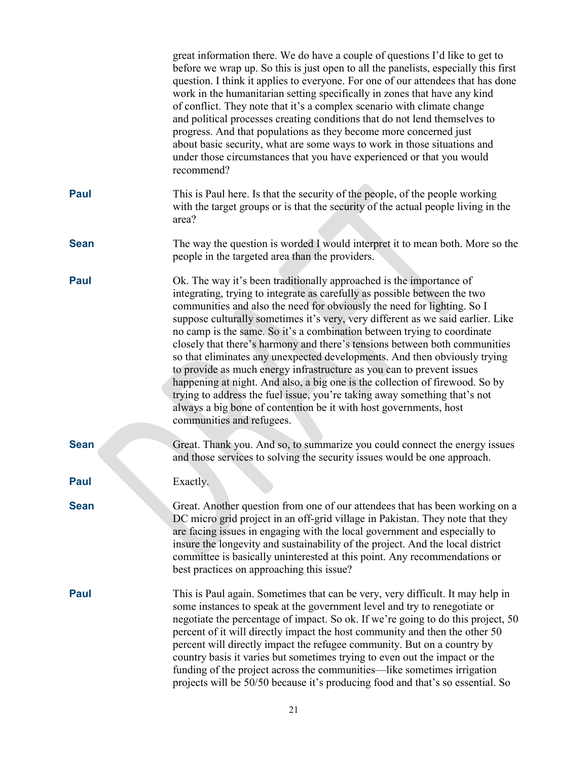|             | great information there. We do have a couple of questions I'd like to get to<br>before we wrap up. So this is just open to all the panelists, especially this first<br>question. I think it applies to everyone. For one of our attendees that has done<br>work in the humanitarian setting specifically in zones that have any kind<br>of conflict. They note that it's a complex scenario with climate change<br>and political processes creating conditions that do not lend themselves to<br>progress. And that populations as they become more concerned just<br>about basic security, what are some ways to work in those situations and<br>under those circumstances that you have experienced or that you would<br>recommend?                                                                                                                                                        |
|-------------|----------------------------------------------------------------------------------------------------------------------------------------------------------------------------------------------------------------------------------------------------------------------------------------------------------------------------------------------------------------------------------------------------------------------------------------------------------------------------------------------------------------------------------------------------------------------------------------------------------------------------------------------------------------------------------------------------------------------------------------------------------------------------------------------------------------------------------------------------------------------------------------------|
| <b>Paul</b> | This is Paul here. Is that the security of the people, of the people working<br>with the target groups or is that the security of the actual people living in the<br>area?                                                                                                                                                                                                                                                                                                                                                                                                                                                                                                                                                                                                                                                                                                                   |
| <b>Sean</b> | The way the question is worded I would interpret it to mean both. More so the<br>people in the targeted area than the providers.                                                                                                                                                                                                                                                                                                                                                                                                                                                                                                                                                                                                                                                                                                                                                             |
| Paul        | Ok. The way it's been traditionally approached is the importance of<br>integrating, trying to integrate as carefully as possible between the two<br>communities and also the need for obviously the need for lighting. So I<br>suppose culturally sometimes it's very, very different as we said earlier. Like<br>no camp is the same. So it's a combination between trying to coordinate<br>closely that there's harmony and there's tensions between both communities<br>so that eliminates any unexpected developments. And then obviously trying<br>to provide as much energy infrastructure as you can to prevent issues<br>happening at night. And also, a big one is the collection of firewood. So by<br>trying to address the fuel issue, you're taking away something that's not<br>always a big bone of contention be it with host governments, host<br>communities and refugees. |
| <b>Sean</b> | Great. Thank you. And so, to summarize you could connect the energy issues<br>and those services to solving the security issues would be one approach.                                                                                                                                                                                                                                                                                                                                                                                                                                                                                                                                                                                                                                                                                                                                       |
| <b>Paul</b> | Exactly.                                                                                                                                                                                                                                                                                                                                                                                                                                                                                                                                                                                                                                                                                                                                                                                                                                                                                     |
| <b>Sean</b> | Great. Another question from one of our attendees that has been working on a<br>DC micro grid project in an off-grid village in Pakistan. They note that they<br>are facing issues in engaging with the local government and especially to<br>insure the longevity and sustainability of the project. And the local district<br>committee is basically uninterested at this point. Any recommendations or<br>best practices on approaching this issue?                                                                                                                                                                                                                                                                                                                                                                                                                                       |
| <b>Paul</b> | This is Paul again. Sometimes that can be very, very difficult. It may help in<br>some instances to speak at the government level and try to renegotiate or<br>negotiate the percentage of impact. So ok. If we're going to do this project, 50<br>percent of it will directly impact the host community and then the other 50<br>percent will directly impact the refugee community. But on a country by<br>country basis it varies but sometimes trying to even out the impact or the<br>funding of the project across the communities—like sometimes irrigation<br>projects will be 50/50 because it's producing food and that's so essential. So                                                                                                                                                                                                                                         |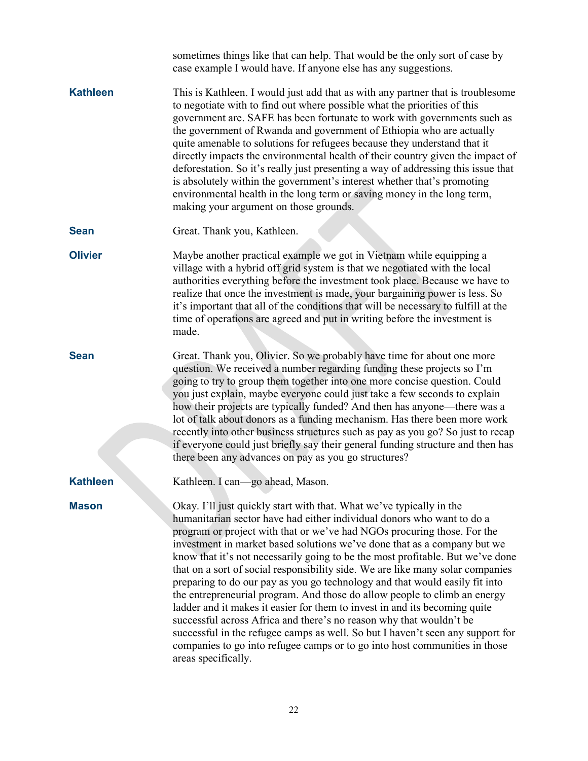|                 | sometimes things like that can help. That would be the only sort of case by<br>case example I would have. If anyone else has any suggestions.                                                                                                                                                                                                                                                                                                                                                                                                                                                                                                                                                                                                                                                                                                                                                                                                                                     |
|-----------------|-----------------------------------------------------------------------------------------------------------------------------------------------------------------------------------------------------------------------------------------------------------------------------------------------------------------------------------------------------------------------------------------------------------------------------------------------------------------------------------------------------------------------------------------------------------------------------------------------------------------------------------------------------------------------------------------------------------------------------------------------------------------------------------------------------------------------------------------------------------------------------------------------------------------------------------------------------------------------------------|
| <b>Kathleen</b> | This is Kathleen. I would just add that as with any partner that is troublesome<br>to negotiate with to find out where possible what the priorities of this<br>government are. SAFE has been fortunate to work with governments such as<br>the government of Rwanda and government of Ethiopia who are actually<br>quite amenable to solutions for refugees because they understand that it<br>directly impacts the environmental health of their country given the impact of<br>deforestation. So it's really just presenting a way of addressing this issue that<br>is absolutely within the government's interest whether that's promoting<br>environmental health in the long term or saving money in the long term,<br>making your argument on those grounds.                                                                                                                                                                                                                |
| <b>Sean</b>     | Great. Thank you, Kathleen.                                                                                                                                                                                                                                                                                                                                                                                                                                                                                                                                                                                                                                                                                                                                                                                                                                                                                                                                                       |
| <b>Olivier</b>  | Maybe another practical example we got in Vietnam while equipping a<br>village with a hybrid off grid system is that we negotiated with the local<br>authorities everything before the investment took place. Because we have to<br>realize that once the investment is made, your bargaining power is less. So<br>it's important that all of the conditions that will be necessary to fulfill at the<br>time of operations are agreed and put in writing before the investment is<br>made.                                                                                                                                                                                                                                                                                                                                                                                                                                                                                       |
| <b>Sean</b>     | Great. Thank you, Olivier. So we probably have time for about one more<br>question. We received a number regarding funding these projects so I'm<br>going to try to group them together into one more concise question. Could<br>you just explain, maybe everyone could just take a few seconds to explain<br>how their projects are typically funded? And then has anyone—there was a<br>lot of talk about donors as a funding mechanism. Has there been more work<br>recently into other business structures such as pay as you go? So just to recap<br>if everyone could just briefly say their general funding structure and then has<br>there been any advances on pay as you go structures?                                                                                                                                                                                                                                                                                 |
| <b>Kathleen</b> | Kathleen. I can—go ahead, Mason.                                                                                                                                                                                                                                                                                                                                                                                                                                                                                                                                                                                                                                                                                                                                                                                                                                                                                                                                                  |
| <b>Mason</b>    | Okay. I'll just quickly start with that. What we've typically in the<br>humanitarian sector have had either individual donors who want to do a<br>program or project with that or we've had NGOs procuring those. For the<br>investment in market based solutions we've done that as a company but we<br>know that it's not necessarily going to be the most profitable. But we've done<br>that on a sort of social responsibility side. We are like many solar companies<br>preparing to do our pay as you go technology and that would easily fit into<br>the entrepreneurial program. And those do allow people to climb an energy<br>ladder and it makes it easier for them to invest in and its becoming quite<br>successful across Africa and there's no reason why that wouldn't be<br>successful in the refugee camps as well. So but I haven't seen any support for<br>companies to go into refugee camps or to go into host communities in those<br>areas specifically. |